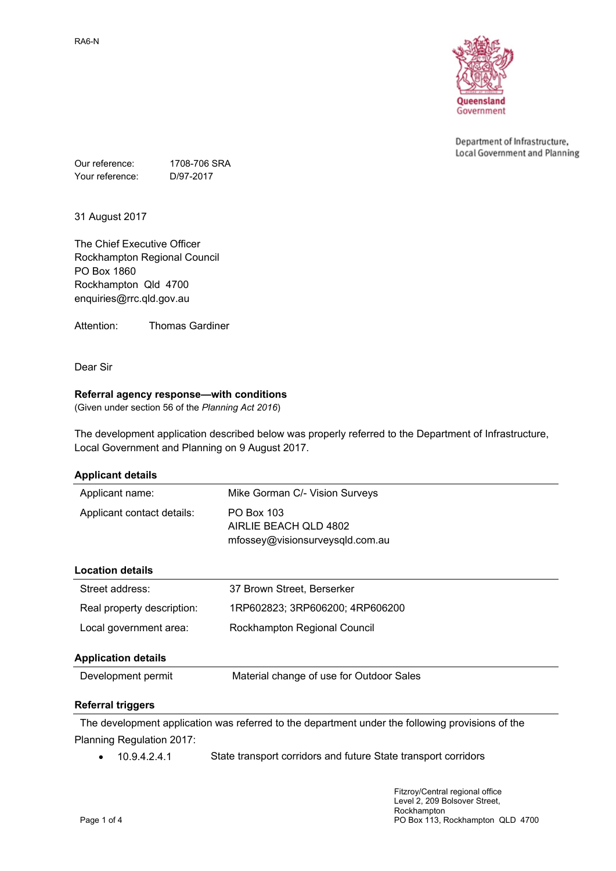

Department of Infrastructure, Local Government and Planning

Our reference: 1708-706 SRA Your reference: D/97-2017

31 August 2017

The Chief Executive Officer Rockhampton Regional Council PO Box 1860 Rockhampton Qld 4700 enquiries@rrc.qld.gov.au

Attention: Thomas Gardiner

Dear Sir

### **Referral agency response—with conditions**

(Given under section 56 of the *Planning Act 2016*)

The development application described below was properly referred to the Department of Infrastructure, Local Government and Planning on 9 August 2017.

| <b>Applicant details</b>   |                                                                        |  |
|----------------------------|------------------------------------------------------------------------|--|
| Applicant name:            | Mike Gorman C/- Vision Surveys                                         |  |
| Applicant contact details: | PO Box 103<br>AIRLIE BEACH OLD 4802<br>mfossey@visionsurveysqld.com.au |  |
| <b>Location details</b>    |                                                                        |  |
| Street address:            | 37 Brown Street, Berserker                                             |  |
| Real property description: | 1RP602823; 3RP606200; 4RP606200                                        |  |
| Local government area:     | Rockhampton Regional Council                                           |  |
| <b>Application details</b> |                                                                        |  |
| Development permit         | Material change of use for Outdoor Sales                               |  |
|                            |                                                                        |  |

### **Referral triggers**

The development application was referred to the department under the following provisions of the Planning Regulation 2017:

• 10.9.4.2.4.1 State transport corridors and future State transport corridors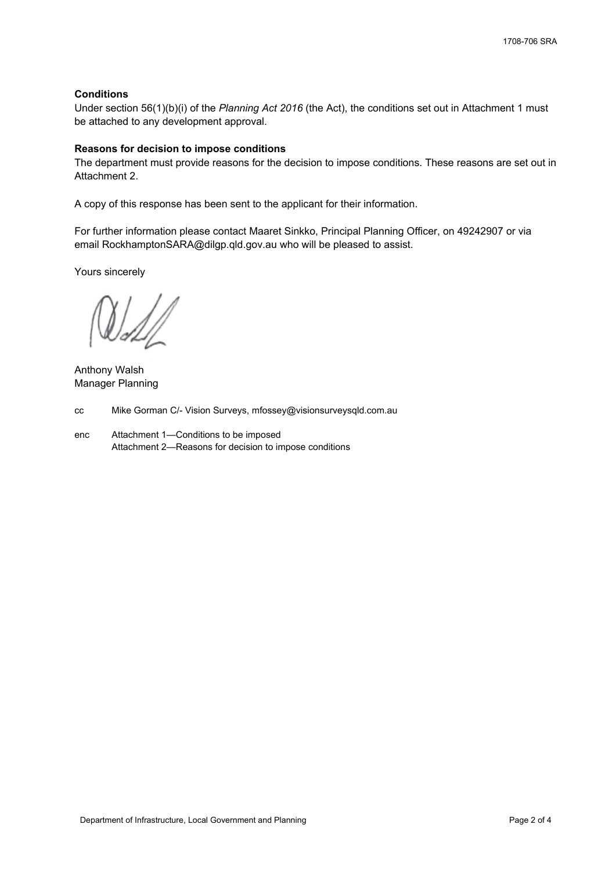## **Conditions**

Under section 56(1)(b)(i) of the *Planning Act 2016* (the Act), the conditions set out in Attachment 1 must be attached to any development approval.

### **Reasons for decision to impose conditions**

The department must provide reasons for the decision to impose conditions. These reasons are set out in Attachment 2.

A copy of this response has been sent to the applicant for their information.

For further information please contact Maaret Sinkko, Principal Planning Officer, on 49242907 or via email RockhamptonSARA@dilgp.qld.gov.au who will be pleased to assist.

Yours sincerely

Anthony Walsh Manager Planning

cc Mike Gorman C/- Vision Surveys, mfossey@visionsurveysqld.com.au

enc Attachment 1—Conditions to be imposed Attachment 2—Reasons for decision to impose conditions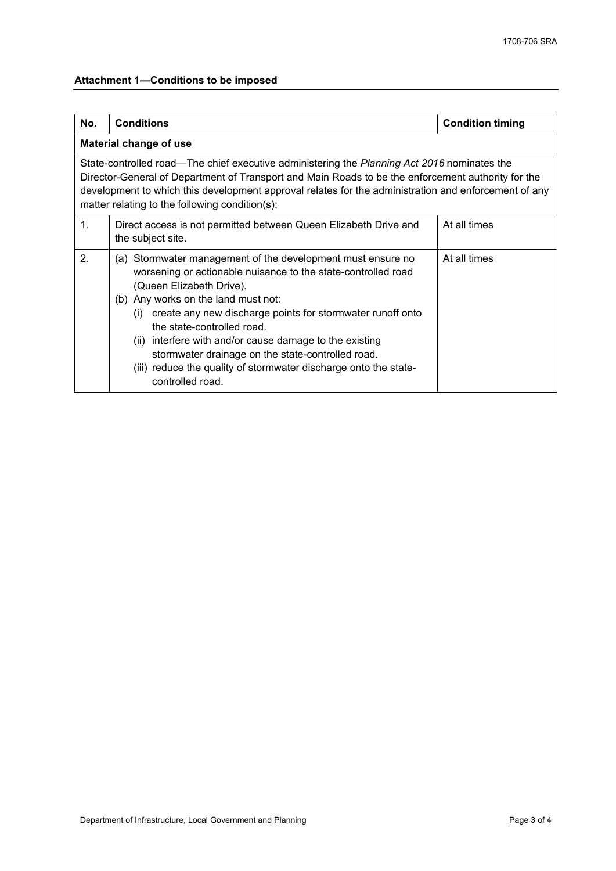# **Attachment 1—Conditions to be imposed**

| No.                                                                                                                                                                                                                                                                                                                                                         | <b>Conditions</b>                                                                                                                                                                                                                                                                                                                                                                                                                                                                                          | <b>Condition timing</b> |  |
|-------------------------------------------------------------------------------------------------------------------------------------------------------------------------------------------------------------------------------------------------------------------------------------------------------------------------------------------------------------|------------------------------------------------------------------------------------------------------------------------------------------------------------------------------------------------------------------------------------------------------------------------------------------------------------------------------------------------------------------------------------------------------------------------------------------------------------------------------------------------------------|-------------------------|--|
| Material change of use                                                                                                                                                                                                                                                                                                                                      |                                                                                                                                                                                                                                                                                                                                                                                                                                                                                                            |                         |  |
| State-controlled road—The chief executive administering the Planning Act 2016 nominates the<br>Director-General of Department of Transport and Main Roads to be the enforcement authority for the<br>development to which this development approval relates for the administration and enforcement of any<br>matter relating to the following condition(s): |                                                                                                                                                                                                                                                                                                                                                                                                                                                                                                            |                         |  |
| 1.                                                                                                                                                                                                                                                                                                                                                          | Direct access is not permitted between Queen Elizabeth Drive and<br>the subject site.                                                                                                                                                                                                                                                                                                                                                                                                                      | At all times            |  |
| 2 <sub>1</sub>                                                                                                                                                                                                                                                                                                                                              | (a) Stormwater management of the development must ensure no<br>worsening or actionable nuisance to the state-controlled road<br>(Queen Elizabeth Drive).<br>(b) Any works on the land must not:<br>create any new discharge points for stormwater runoff onto<br>(i)<br>the state-controlled road.<br>(ii) interfere with and/or cause damage to the existing<br>stormwater drainage on the state-controlled road.<br>(iii) reduce the quality of stormwater discharge onto the state-<br>controlled road. | At all times            |  |